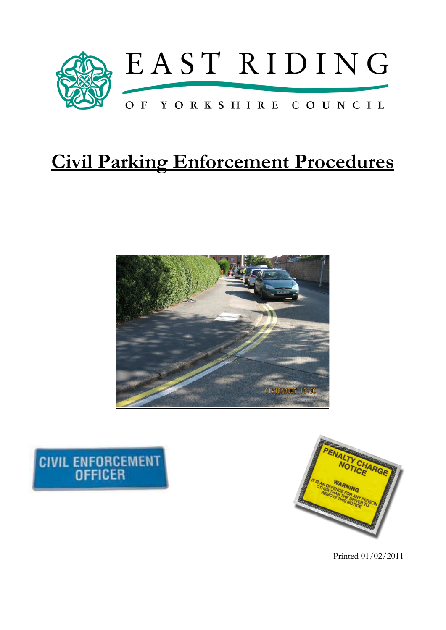

# **Civil Parking Enforcement Procedures**





Printed 01/02/2011

**CIVIL ENFORCEMENT**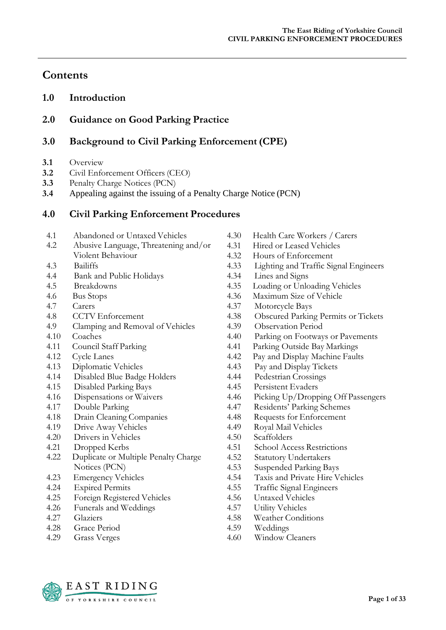## **Contents**

## **1.0 Introduction**

**2.0 Guidance on Good Parking Practice**

## **3.0 Background to Civil Parking Enforcement(CPE)**

- **3.1** Overview
- **3.2** Civil Enforcement Officers (CEO)
- **3.3** Penalty Charge Notices (PCN)
- **3.4** Appealing against the issuing of a Penalty Charge Notice (PCN)

## **4.0 Civil Parking Enforcement Procedures**

- 4.1 Abandoned or Untaxed Vehicles
- 4.2 Abusive Language, Threatening and/or Violent Behaviour
- 4.3 Bailiffs
- 
- 4.4 Bank and Public Holidays
- 4.5 Breakdowns
- 4.6 Bus Stops
- 4.7 Carers
- 4.8 CCTV Enforcement
- 4.9 Clamping and Removal of Vehicles
- 4.10 Coaches
- 4.11 Council Staff Parking
- 4.12 Cycle Lanes
- 4.13 Diplomatic Vehicles
- 4.14 Disabled Blue Badge Holders
- 4.15 Disabled Parking Bays
- 4.16 Dispensations or Waivers
- 4.17 Double Parking
- 4.18 Drain Cleaning Companies
- 4.19 Drive Away Vehicles
- 4.20 Drivers in Vehicles
- 4.21 Dropped Kerbs
- 4.22 Duplicate or Multiple Penalty Charge Notices (PCN)
- 4.23 Emergency Vehicles
- 4.24 Expired Permits
- 4.25 Foreign Registered Vehicles
- 4.26 Funerals and Weddings
- 4.27 Glaziers
- 4.28 Grace Period
- 4.29 Grass Verges
- 4.30 Health Care Workers / Carers
- 4.31 Hired or Leased Vehicles
- 4.32 Hours of Enforcement
- 4.33 Lighting and Traffic Signal Engineers
- 4.34 Lines and Signs
- 4.35 Loading or Unloading Vehicles
- 4.36 Maximum Size of Vehicle
- 4.37 Motorcycle Bays
- 4.38 Obscured Parking Permits or Tickets
- 4.39 Observation Period
- 4.40 Parking on Footways or Pavements
- 4.41 Parking Outside Bay Markings
- 4.42 Pay and Display Machine Faults
- 4.43 Pay and Display Tickets
- 4.44 Pedestrian Crossings
- 4.45 Persistent Evaders
- 4.46 Picking Up/Dropping Off Passengers
- 4.47 Residents' Parking Schemes
- 4.48 Requests for Enforcement
- 4.49 Royal Mail Vehicles
- 4.50 Scaffolders
- 4.51 School Access Restrictions
- 4.52 Statutory Undertakers
- 4.53 Suspended Parking Bays
- 4.54 Taxis and Private Hire Vehicles
- 4.55 Traffic Signal Engineers
- 4.56 Untaxed Vehicles
- 4.57 Utility Vehicles
- 4.58 Weather Conditions
- 4.59 Weddings
- 4.60 Window Cleaners

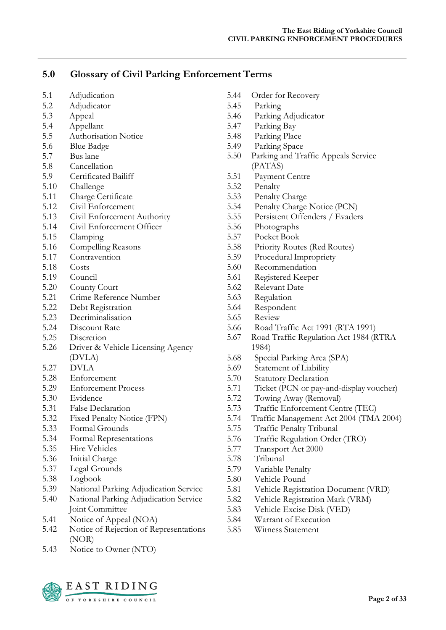## **5.0 Glossary of Civil Parking Enforcement Terms**

- 5.1 Adjudication 5.2 Adjudicator
- 5.3 Appeal
- 5.4 Appellant
- 5.5 Authorisation Notice<br>5.6 Blue Badge
- 5.6 Blue Badge
- 5.7 Bus lane
- 5.8 Cancellation
- 5.9 Certificated Bailiff
- 5.10 Challenge
- 5.11 Charge Certificate
- 5.12 Civil Enforcement
- 5.13 Civil Enforcement Authority
- 5.14 Civil Enforcement Officer
- 5.15 Clamping
- 5.16 Compelling Reasons
- 5.17 Contravention
- 5.18 Costs
- 5.19 Council
- 5.20 County Court
- 5.21 Crime Reference Number
- 5.22 Debt Registration
- 5.23 Decriminalisation
- 5.24 Discount Rate
- 5.25 Discretion<br>5.26 Driver & V
- Driver & Vehicle Licensing Agency (DVLA)
- 5.27 DVLA
- 5.28 Enforcement
- 5.29 Enforcement Process
- 5.30 Evidence
- 5.31 False Declaration
- 5.32 Fixed Penalty Notice (FPN)
- 5.33 Formal Grounds
- 5.34 Formal Representations
- 5.35 Hire Vehicles
- 5.36 Initial Charge
- 5.37 Legal Grounds
- 5.38 Logbook
- 5.39 National Parking Adjudication Service
- 5.40 National Parking Adjudication Service Joint Committee
- 5.41 Notice of Appeal (NOA)
- 5.42 Notice of Rejection of Representations (NOR)
- 5.43 Notice to Owner (NTO)



- 5.45 Parking
- 5.46 Parking Adjudicator
- 5.47 Parking Bay
- 5.48 Parking Place<br>5.49 Parking Space
- Parking Space
- 5.50 Parking and Traffic Appeals Service (PATAS)
- 5.51 Payment Centre
- 5.52 Penalty
- 5.53 Penalty Charge
- 5.54 Penalty Charge Notice (PCN)
- 5.55 Persistent Offenders / Evaders
- 5.56 Photographs
- 5.57 Pocket Book
- 5.58 Priority Routes (Red Routes)
- 5.59 Procedural Impropriety
- 5.60 Recommendation
- 5.61 Registered Keeper
- 5.62 Relevant Date
- 5.63 Regulation
- 5.64 Respondent
- 5.65 Review
- 5.66 Road Traffic Act 1991 (RTA 1991)
- 5.67 Road Traffic Regulation Act 1984 (RTRA 1984)
- 5.68 Special Parking Area (SPA)
- 5.69 Statement of Liability
	- 5.70 Statutory Declaration
	- 5.71 Ticket (PCN or pay-and-display voucher)
	- 5.72 Towing Away (Removal)
	- 5.73 Traffic Enforcement Centre (TEC)
	- 5.74 Traffic Management Act 2004 (TMA 2004)
	- 5.75 Traffic Penalty Tribunal
	- 5.76 Traffic Regulation Order (TRO)
	- 5.77 Transport Act 2000
- 5.78 Tribunal
- 5.79 Variable Penalty
- 5.80 Vehicle Pound
- 5.81 Vehicle Registration Document (VRD)
- 5.82 Vehicle Registration Mark (VRM)
- 5.83 Vehicle Excise Disk (VED)
- 5.84 Warrant of Execution
- 5.85 Witness Statement

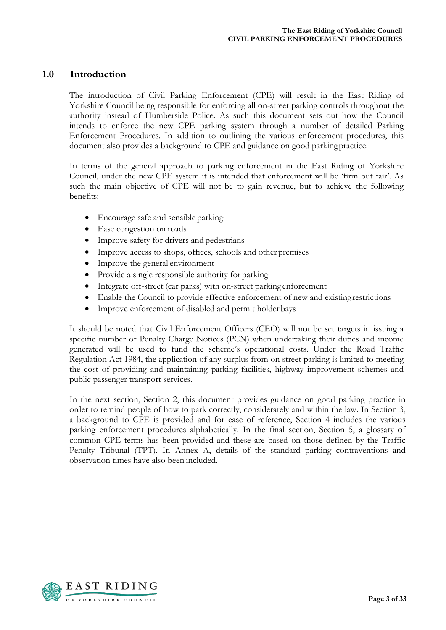#### **1.0 Introduction**

The introduction of Civil Parking Enforcement (CPE) will result in the East Riding of Yorkshire Council being responsible for enforcing all on-street parking controls throughout the authority instead of Humberside Police. As such this document sets out how the Council intends to enforce the new CPE parking system through a number of detailed Parking Enforcement Procedures. In addition to outlining the various enforcement procedures, this document also provides a background to CPE and guidance on good parkingpractice.

In terms of the general approach to parking enforcement in the East Riding of Yorkshire Council, under the new CPE system it is intended that enforcement will be 'firm but fair'. As such the main objective of CPE will not be to gain revenue, but to achieve the following benefits:

- Encourage safe and sensible parking
- Ease congestion on roads
- Improve safety for drivers and pedestrians
- Improve access to shops, offices, schools and other premises
- Improve the general environment
- Provide a single responsible authority for parking
- Integrate off-street (car parks) with on-street parking enforcement
- Enable the Council to provide effective enforcement of new and existingrestrictions
- Improve enforcement of disabled and permit holder bays

It should be noted that Civil Enforcement Officers (CEO) will not be set targets in issuing a specific number of Penalty Charge Notices (PCN) when undertaking their duties and income generated will be used to fund the scheme's operational costs. Under the Road Traffic Regulation Act 1984, the application of any surplus from on street parking is limited to meeting the cost of providing and maintaining parking facilities, highway improvement schemes and public passenger transport services.

In the next section, Section 2, this document provides guidance on good parking practice in order to remind people of how to park correctly, considerately and within the law. In Section 3, a background to CPE is provided and for ease of reference, Section 4 includes the various parking enforcement procedures alphabetically. In the final section, Section 5, a glossary of common CPE terms has been provided and these are based on those defined by the Traffic Penalty Tribunal (TPT). In Annex A, details of the standard parking contraventions and observation times have also been included.

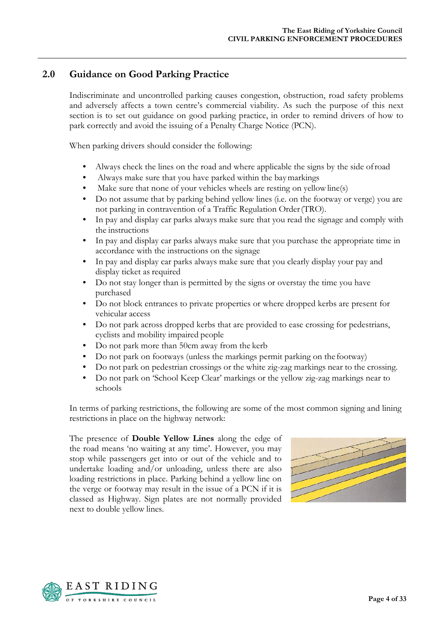## **2.0 Guidance on Good Parking Practice**

Indiscriminate and uncontrolled parking causes congestion, obstruction, road safety problems and adversely affects a town centre's commercial viability. As such the purpose of this next section is to set out guidance on good parking practice, in order to remind drivers of how to park correctly and avoid the issuing of a Penalty Charge Notice (PCN).

When parking drivers should consider the following:

- Always check the lines on the road and where applicable the signs by the side ofroad
- Always make sure that you have parked within the baymarkings
- Make sure that none of your vehicles wheels are resting on yellow line(s)
- Do not assume that by parking behind yellow lines (i.e. on the footway or verge) you are not parking in contravention of a Traffic Regulation Order(TRO).
- In pay and display car parks always make sure that you read the signage and comply with the instructions
- In pay and display car parks always make sure that you purchase the appropriate time in accordance with the instructions on the signage
- In pay and display car parks always make sure that you clearly display your pay and display ticket as required
- Do not stay longer than is permitted by the signs or overstay the time you have purchased
- Do not block entrances to private properties or where dropped kerbs are present for vehicular access
- Do not park across dropped kerbs that are provided to ease crossing for pedestrians, cyclists and mobility impaired people
- Do not park more than 50cm away from the kerb
- Do not park on footways (unless the markings permit parking on the footway)
- Do not park on pedestrian crossings or the white zig-zag markings near to the crossing.
- Do not park on 'School Keep Clear' markings or the yellow zig-zag markings near to schools

In terms of parking restrictions, the following are some of the most common signing and lining restrictions in place on the highway network:

The presence of **Double Yellow Lines** along the edge of the road means 'no waiting at any time'. However, you may stop while passengers get into or out of the vehicle and to undertake loading and/or unloading, unless there are also loading restrictions in place. Parking behind a yellow line on the verge or footway may result in the issue of a PCN if it is classed as Highway. Sign plates are not normally provided next to double yellow lines.



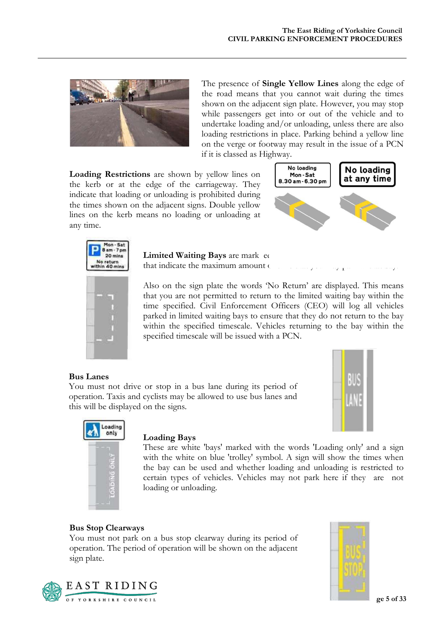

The presence of **Single Yellow Lines** along the edge of the road means that you cannot wait during the times shown on the adjacent sign plate. However, you may stop while passengers get into or out of the vehicle and to undertake loading and/or unloading, unless there are also loading restrictions in place. Parking behind a yellow line on the verge or footway may result in the issue of a PCN if it is classed as Highway.

**Loading Restrictions** are shown by yellow lines on the kerb or at the edge of the carriageway. They indicate that loading or unloading is prohibited during the times shown on the adjacent signs. Double yellow lines on the kerb means no loading or unloading at any time.



ed with white lines and signs and signs and signs and signs and signs and signs and signs and signs and signs and signs and signs and signs and signs and signs and signs and signs and signs and signs and signs and signs an of time that you may park in that bay.



that indicate the maximum amount

**Limited Waiting Bays** are mark

Also on the sign plate the words 'No Return' are displayed. This means that you are not permitted to return to the limited waiting bay within the time specified. Civil Enforcement Officers (CEO) will log all vehicles parked in limited waiting bays to ensure that they do not return to the bay within the specified timescale. Vehicles returning to the bay within the specified timescale will be issued with a PCN.



#### **Bus Lanes**

You must not drive or stop in a bus lane during its period of operation. Taxis and cyclists may be allowed to use bus lanes and this will be displayed on the signs.



#### **Loading Bays**

These are white 'bays' marked with the words 'Loading only' and a sign with the white on blue 'trolley' symbol. A sign will show the times when the bay can be used and whether loading and unloading is restricted to certain types of vehicles. Vehicles may not park here if they are not loading or unloading.

#### **Bus Stop Clearways**

You must not park on a bus stop clearway during its period of operation. The period of operation will be shown on the adjacent sign plate.



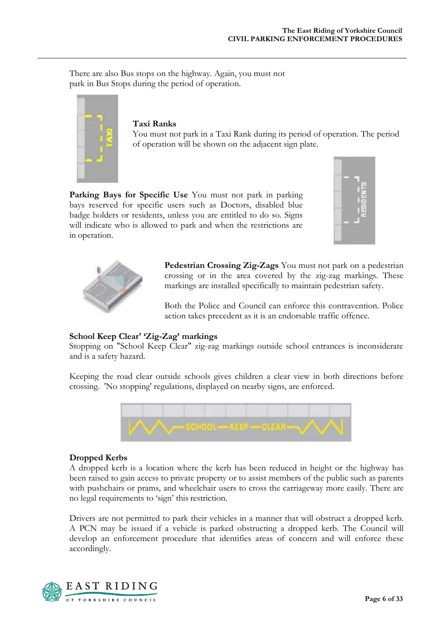There are also Bus stops on the highway. Again, you must not park in Bus Stops during the period of operation.



#### **Taxi Ranks**

You must not park in a Taxi Rank during its period of operation. The period of operation will be shown on the adjacent sign plate.

Parking Bays for Specific Use You must not park in parking bays reserved for specific users such as Doctors, disabled blue badge holders or residents, unless you are entitled to do so. Signs will indicate who is allowed to park and when the restrictions are in operation.





**Pedestrian Crossing Zig-Zags** You must not park on a pedestrian crossing or in the area covered by the zig-zag markings. These markings are installed specifically to maintain pedestrian safety.

Both the Police and Council can enforce this contravention. Police action takes precedent as it is an endorsable traffic offence.

#### **School Keep Clear' 'Zig-Zag' markings**

Stopping on "School Keep Clear" zig-zag markings outside school entrances is inconsiderate and is a safety hazard.

Keeping the road clear outside schools gives children a clear view in both directions before crossing. 'No stopping' regulations, displayed on nearby signs, are enforced.



#### **Dropped Kerbs**

A dropped kerb is a location where the kerb has been reduced in height or the highway has been raised to gain access to private property or to assist members of the public such as parents with pushchairs or prams, and wheelchair users to cross the carriageway more easily. There are no legal requirements to 'sign' this restriction.

Drivers are not permitted to park their vehicles in a manner that will obstruct a dropped kerb. A PCN may be issued if a vehicle is parked obstructing a dropped kerb. The Council will develop an enforcement procedure that identifies areas of concern and will enforce these accordingly.

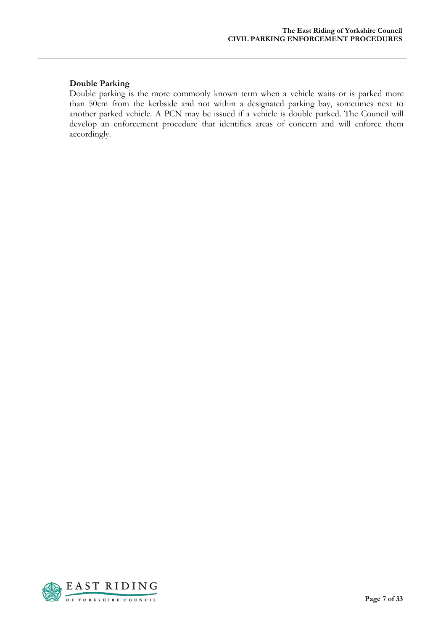#### **Double Parking**

Double parking is the more commonly known term when a vehicle waits or is parked more than 50cm from the kerbside and not within a designated parking bay, sometimes next to another parked vehicle. A PCN may be issued if a vehicle is double parked. The Council will develop an enforcement procedure that identifies areas of concern and will enforce them accordingly.

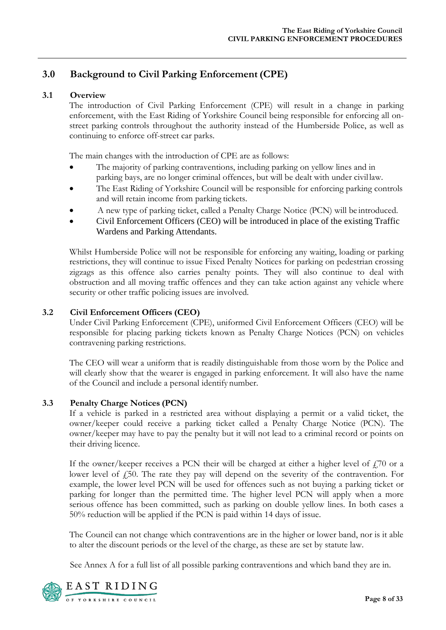## **3.0 Background to Civil Parking Enforcement(CPE)**

#### **3.1 Overview**

The introduction of Civil Parking Enforcement (CPE) will result in a change in parking enforcement, with the East Riding of Yorkshire Council being responsible for enforcing all onstreet parking controls throughout the authority instead of the Humberside Police, as well as continuing to enforce off-street car parks.

The main changes with the introduction of CPE are as follows:

- The majority of parking contraventions, including parking on yellow lines and in parking bays, are no longer criminal offences, but will be dealt with under civil law.
- The East Riding of Yorkshire Council will be responsible for enforcing parking controls and will retain income from parking tickets.
- A new type of parking ticket, called a Penalty Charge Notice (PCN) will be introduced.
- Civil Enforcement Officers (CEO) will be introduced in place of the existing Traffic Wardens and Parking Attendants.

Whilst Humberside Police will not be responsible for enforcing any waiting, loading or parking restrictions, they will continue to issue Fixed Penalty Notices for parking on pedestrian crossing zigzags as this offence also carries penalty points. They will also continue to deal with obstruction and all moving traffic offences and they can take action against any vehicle where security or other traffic policing issues are involved.

#### **3.2 Civil Enforcement Officers (CEO)**

Under Civil Parking Enforcement (CPE), uniformed Civil Enforcement Officers (CEO) will be responsible for placing parking tickets known as Penalty Charge Notices (PCN) on vehicles contravening parking restrictions.

The CEO will wear a uniform that is readily distinguishable from those worn by the Police and will clearly show that the wearer is engaged in parking enforcement. It will also have the name of the Council and include a personal identify number.

#### **3.3 Penalty Charge Notices (PCN)**

If a vehicle is parked in a restricted area without displaying a permit or a valid ticket, the owner/keeper could receive a parking ticket called a Penalty Charge Notice (PCN). The owner/keeper may have to pay the penalty but it will not lead to a criminal record or points on their driving licence.

If the owner/keeper receives a PCN their will be charged at either a higher level of  $f$ ,70 or a lower level of £50. The rate they pay will depend on the severity of the contravention. For example, the lower level PCN will be used for offences such as not buying a parking ticket or parking for longer than the permitted time. The higher level PCN will apply when a more serious offence has been committed, such as parking on double yellow lines. In both cases a 50% reduction will be applied if the PCN is paid within 14 days of issue.

The Council can not change which contraventions are in the higher or lower band, nor is it able to alter the discount periods or the level of the charge, as these are set by statute law.

See Annex A for a full list of all possible parking contraventions and which band they are in.

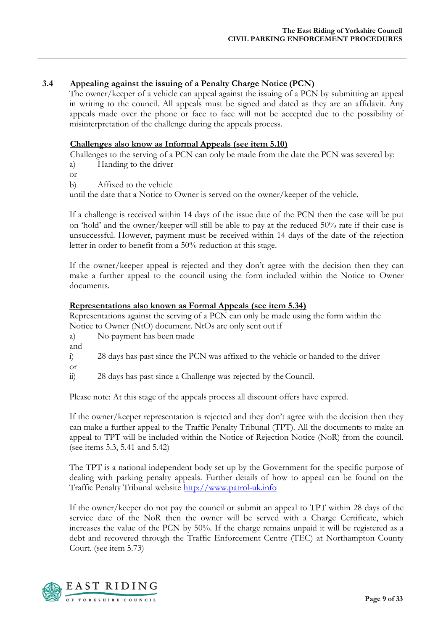#### **3.4 Appealing against the issuing of a Penalty Charge Notice (PCN)**

The owner/keeper of a vehicle can appeal against the issuing of a PCN by submitting an appeal in writing to the council. All appeals must be signed and dated as they are an affidavit. Any appeals made over the phone or face to face will not be accepted due to the possibility of misinterpretation of the challenge during the appeals process.

#### **Challenges also know as Informal Appeals (see item 5.10)**

Challenges to the serving of a PCN can only be made from the date the PCN was severed by: a) Handing to the driver

or

b) Affixed to the vehicle

until the date that a Notice to Owner is served on the owner/keeper of the vehicle.

If a challenge is received within 14 days of the issue date of the PCN then the case will be put on 'hold' and the owner/keeper will still be able to pay at the reduced 50% rate if their case is unsuccessful. However, payment must be received within 14 days of the date of the rejection letter in order to benefit from a 50% reduction at this stage.

If the owner/keeper appeal is rejected and they don't agree with the decision then they can make a further appeal to the council using the form included within the Notice to Owner documents.

#### **Representations also known as Formal Appeals (see item 5.34)**

Representations against the serving of a PCN can only be made using the form within the Notice to Owner (NtO) document. NtOs are only sent out if

- a) No payment has been made
- and
- i) 28 days has past since the PCN was affixed to the vehicle or handed to the driver or
- ii) 28 days has past since a Challenge was rejected by the Council.

Please note: At this stage of the appeals process all discount offers have expired.

If the owner/keeper representation is rejected and they don't agree with the decision then they can make a further appeal to the Traffic Penalty Tribunal (TPT). All the documents to make an appeal to TPT will be included within the Notice of Rejection Notice (NoR) from the council. (see items 5.3, 5.41 and 5.42)

The TPT is a national independent body set up by the Government for the specific purpose of dealing with parking penalty appeals. Further details of how to appeal can be found on the Traffic Penalty Tribunal website [http://www.patrol-uk.info](http://www.patrol-uk.info/)

If the owner/keeper do not pay the council or submit an appeal to TPT within 28 days of the service date of the NoR then the owner will be served with a Charge Certificate, which increases the value of the PCN by 50%. If the charge remains unpaid it will be registered as a debt and recovered through the Traffic Enforcement Centre (TEC) at Northampton County Court. (see item 5.73)

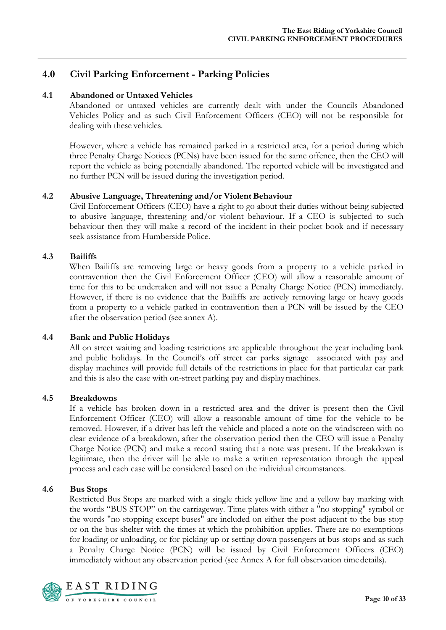## **4.0 Civil Parking Enforcement - Parking Policies**

#### **4.1 Abandoned or Untaxed Vehicles**

Abandoned or untaxed vehicles are currently dealt with under the Councils Abandoned Vehicles Policy and as such Civil Enforcement Officers (CEO) will not be responsible for dealing with these vehicles.

However, where a vehicle has remained parked in a restricted area, for a period during which three Penalty Charge Notices (PCNs) have been issued for the same offence, then the CEO will report the vehicle as being potentially abandoned. The reported vehicle will be investigated and no further PCN will be issued during the investigation period.

#### **4.2 Abusive Language, Threatening and/or Violent Behaviour**

Civil Enforcement Officers (CEO) have a right to go about their duties without being subjected to abusive language, threatening and/or violent behaviour. If a CEO is subjected to such behaviour then they will make a record of the incident in their pocket book and if necessary seek assistance from Humberside Police.

#### **4.3 Bailiffs**

When Bailiffs are removing large or heavy goods from a property to a vehicle parked in contravention then the Civil Enforcement Officer (CEO) will allow a reasonable amount of time for this to be undertaken and will not issue a Penalty Charge Notice (PCN) immediately. However, if there is no evidence that the Bailiffs are actively removing large or heavy goods from a property to a vehicle parked in contravention then a PCN will be issued by the CEO after the observation period (see annex A).

#### **4.4 Bank and Public Holidays**

All on street waiting and loading restrictions are applicable throughout the year including bank and public holidays. In the Council's off street car parks signage associated with pay and display machines will provide full details of the restrictions in place for that particular car park and this is also the case with on-street parking pay and displaymachines.

#### **4.5 Breakdowns**

If a vehicle has broken down in a restricted area and the driver is present then the Civil Enforcement Officer (CEO) will allow a reasonable amount of time for the vehicle to be removed. However, if a driver has left the vehicle and placed a note on the windscreen with no clear evidence of a breakdown, after the observation period then the CEO will issue a Penalty Charge Notice (PCN) and make a record stating that a note was present. If the breakdown is legitimate, then the driver will be able to make a written representation through the appeal process and each case will be considered based on the individual circumstances.

#### **4.6 Bus Stops**

Restricted Bus Stops are marked with a single thick yellow line and a yellow bay marking with the words "BUS STOP" on the carriageway. Time plates with either a "no stopping" symbol or the words "no stopping except buses" are included on either the post adjacent to the bus stop or on the bus shelter with the times at which the prohibition applies. There are no exemptions for loading or unloading, or for picking up or setting down passengers at bus stops and as such a Penalty Charge Notice (PCN) will be issued by Civil Enforcement Officers (CEO) immediately without any observation period (see Annex A for full observation timedetails).

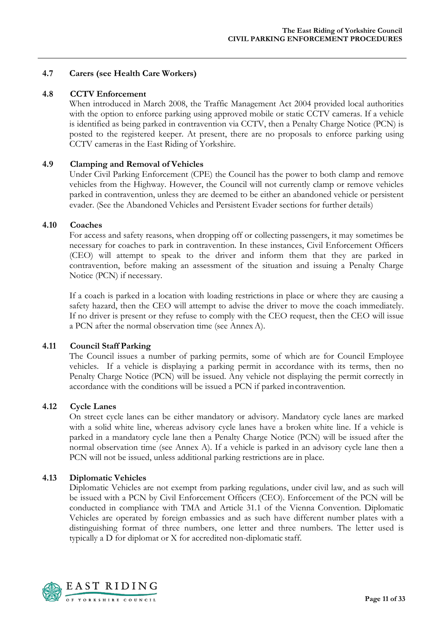#### **4.7 Carers (see Health Care Workers)**

#### **4.8 CCTV Enforcement**

When introduced in March 2008, the Traffic Management Act 2004 provided local authorities with the option to enforce parking using approved mobile or static CCTV cameras. If a vehicle is identified as being parked in contravention via CCTV, then a Penalty Charge Notice (PCN) is posted to the registered keeper. At present, there are no proposals to enforce parking using CCTV cameras in the East Riding of Yorkshire.

#### **4.9 Clamping and Removal of Vehicles**

Under Civil Parking Enforcement (CPE) the Council has the power to both clamp and remove vehicles from the Highway. However, the Council will not currently clamp or remove vehicles parked in contravention, unless they are deemed to be either an abandoned vehicle or persistent evader. (See the Abandoned Vehicles and Persistent Evader sections for further details)

#### **4.10 Coaches**

For access and safety reasons, when dropping off or collecting passengers, it may sometimes be necessary for coaches to park in contravention. In these instances, Civil Enforcement Officers (CEO) will attempt to speak to the driver and inform them that they are parked in contravention, before making an assessment of the situation and issuing a Penalty Charge Notice (PCN) if necessary.

If a coach is parked in a location with loading restrictions in place or where they are causing a safety hazard, then the CEO will attempt to advise the driver to move the coach immediately. If no driver is present or they refuse to comply with the CEO request, then the CEO will issue a PCN after the normal observation time (see AnnexA).

#### **4.11 Council Staff Parking**

The Council issues a number of parking permits, some of which are for Council Employee vehicles. If a vehicle is displaying a parking permit in accordance with its terms, then no Penalty Charge Notice (PCN) will be issued. Any vehicle not displaying the permit correctly in accordance with the conditions will be issued a PCN if parked incontravention.

#### **4.12 Cycle Lanes**

On street cycle lanes can be either mandatory or advisory. Mandatory cycle lanes are marked with a solid white line, whereas advisory cycle lanes have a broken white line. If a vehicle is parked in a mandatory cycle lane then a Penalty Charge Notice (PCN) will be issued after the normal observation time (see Annex A). If a vehicle is parked in an advisory cycle lane then a PCN will not be issued, unless additional parking restrictions are in place.

#### **4.13 Diplomatic Vehicles**

Diplomatic Vehicles are not exempt from parking regulations, under civil law, and as such will be issued with a PCN by Civil Enforcement Officers (CEO). Enforcement of the PCN will be conducted in compliance with TMA and Article 31.1 of the Vienna Convention. Diplomatic Vehicles are operated by foreign embassies and as such have different number plates with a distinguishing format of three numbers, one letter and three numbers. The letter used is typically a D for diplomat or X for accredited non-diplomatic staff.

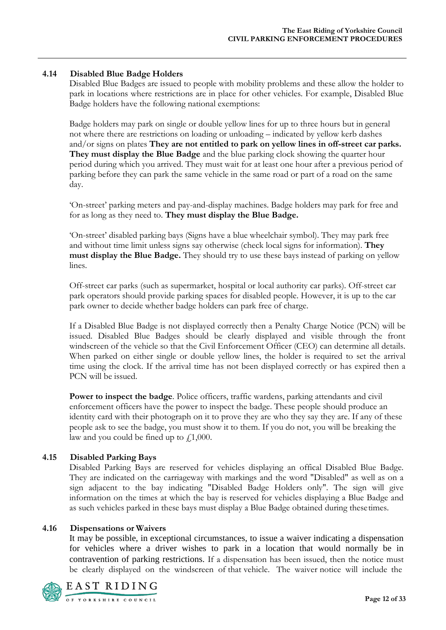#### **4.14 Disabled Blue Badge Holders**

Disabled Blue Badges are issued to people with mobility problems and these allow the holder to park in locations where restrictions are in place for other vehicles. For example, Disabled Blue Badge holders have the following national exemptions:

Badge holders may park on single or double yellow lines for up to three hours but in general not where there are restrictions on loading or unloading – indicated by yellow kerb dashes and/or signs on plates **They are not entitled to park on yellow lines in off-street car parks. They must display the Blue Badge** and the blue parking clock showing the quarter hour period during which you arrived. They must wait for at least one hour after a previous period of parking before they can park the same vehicle in the same road or part of a road on the same day.

'On-street' parking meters and pay-and-display machines. Badge holders may park for free and for as long as they need to. **They must display the Blue Badge.**

'On-street' disabled parking bays (Signs have a blue wheelchair symbol). They may park free and without time limit unless signs say otherwise (check local signs for information). **They must display the Blue Badge.** They should try to use these bays instead of parking on yellow lines.

Off-street car parks (such as supermarket, hospital or local authority car parks). Off-street car park operators should provide parking spaces for disabled people. However, it is up to the car park owner to decide whether badge holders can park free of charge.

If a Disabled Blue Badge is not displayed correctly then a Penalty Charge Notice (PCN) will be issued. Disabled Blue Badges should be clearly displayed and visible through the front windscreen of the vehicle so that the Civil Enforcement Officer (CEO) can determine all details. When parked on either single or double yellow lines, the holder is required to set the arrival time using the clock. If the arrival time has not been displayed correctly or has expired then a PCN will be issued.

Power to inspect the badge. Police officers, traffic wardens, parking attendants and civil enforcement officers have the power to inspect the badge. These people should produce an identity card with their photograph on it to prove they are who they say they are. If any of these people ask to see the badge, you must show it to them. If you do not, you will be breaking the law and you could be fined up to  $\text{\textsterling}1,000$ .

#### **4.15 Disabled Parking Bays**

Disabled Parking Bays are reserved for vehicles displaying an offical Disabled Blue Badge. They are indicated on the carriageway with markings and the word "Disabled" as well as on a sign adjacent to the bay indicating "Disabled Badge Holders only". The sign will give information on the times at which the bay is reserved for vehicles displaying a Blue Badge and as such vehicles parked in these bays must display a Blue Badge obtained during thesetimes.

#### **4.16 Dispensations or Waivers**

It may be possible, in exceptional circumstances, to issue a waiver indicating a dispensation for vehicles where a driver wishes to park in a location that would normally be in contravention of parking restrictions. If a dispensation has been issued, then the notice must be clearly displayed on the windscreen of that vehicle. The waiver notice will include the

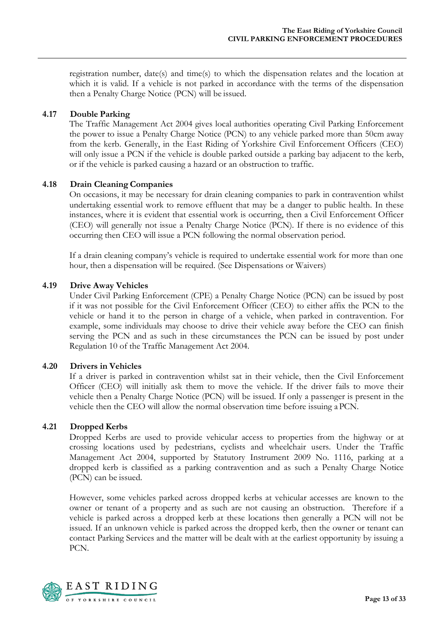registration number, date(s) and time(s) to which the dispensation relates and the location at which it is valid. If a vehicle is not parked in accordance with the terms of the dispensation then a Penalty Charge Notice (PCN) will be issued.

#### **4.17 Double Parking**

The Traffic Management Act 2004 gives local authorities operating Civil Parking Enforcement the power to issue a Penalty Charge Notice (PCN) to any vehicle parked more than 50cm away from the kerb. Generally, in the East Riding of Yorkshire Civil Enforcement Officers (CEO) will only issue a PCN if the vehicle is double parked outside a parking bay adjacent to the kerb, or if the vehicle is parked causing a hazard or an obstruction to traffic.

#### **4.18 Drain Cleaning Companies**

On occasions, it may be necessary for drain cleaning companies to park in contravention whilst undertaking essential work to remove effluent that may be a danger to public health. In these instances, where it is evident that essential work is occurring, then a Civil Enforcement Officer (CEO) will generally not issue a Penalty Charge Notice (PCN). If there is no evidence of this occurring then CEO will issue a PCN following the normal observation period.

If a drain cleaning company's vehicle is required to undertake essential work for more than one hour, then a dispensation will be required. (See Dispensations or Waivers)

#### **4.19 Drive Away Vehicles**

Under Civil Parking Enforcement (CPE) a Penalty Charge Notice (PCN) can be issued by post if it was not possible for the Civil Enforcement Officer (CEO) to either affix the PCN to the vehicle or hand it to the person in charge of a vehicle, when parked in contravention. For example, some individuals may choose to drive their vehicle away before the CEO can finish serving the PCN and as such in these circumstances the PCN can be issued by post under Regulation 10 of the Traffic Management Act 2004.

#### **4.20 Drivers in Vehicles**

If a driver is parked in contravention whilst sat in their vehicle, then the Civil Enforcement Officer (CEO) will initially ask them to move the vehicle. If the driver fails to move their vehicle then a Penalty Charge Notice (PCN) will be issued. If only a passenger is present in the vehicle then the CEO will allow the normal observation time before issuing aPCN.

#### **4.21 Dropped Kerbs**

Dropped Kerbs are used to provide vehicular access to properties from the highway or at crossing locations used by pedestrians, cyclists and wheelchair users. Under the Traffic Management Act 2004, supported by Statutory Instrument 2009 No. 1116, parking at a dropped kerb is classified as a parking contravention and as such a Penalty Charge Notice (PCN) can be issued.

However, some vehicles parked across dropped kerbs at vehicular accesses are known to the owner or tenant of a property and as such are not causing an obstruction. Therefore if a vehicle is parked across a dropped kerb at these locations then generally a PCN will not be issued. If an unknown vehicle is parked across the dropped kerb, then the owner or tenant can contact Parking Services and the matter will be dealt with at the earliest opportunity by issuing a PCN.

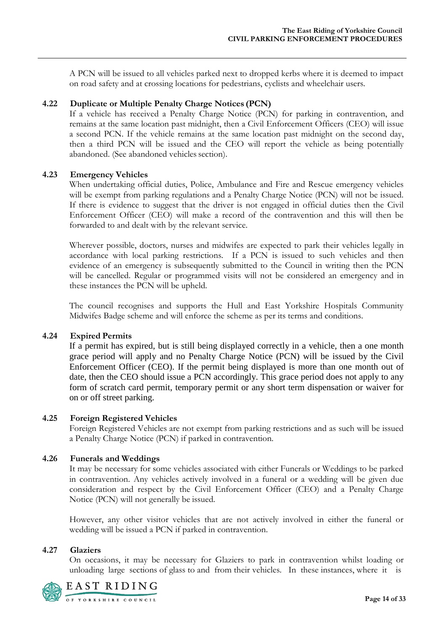A PCN will be issued to all vehicles parked next to dropped kerbs where it is deemed to impact on road safety and at crossing locations for pedestrians, cyclists and wheelchair users.

#### **4.22 Duplicate or Multiple Penalty Charge Notices (PCN)**

If a vehicle has received a Penalty Charge Notice (PCN) for parking in contravention, and remains at the same location past midnight, then a Civil Enforcement Officers (CEO) will issue a second PCN. If the vehicle remains at the same location past midnight on the second day, then a third PCN will be issued and the CEO will report the vehicle as being potentially abandoned. (See abandoned vehicles section).

#### **4.23 Emergency Vehicles**

When undertaking official duties, Police, Ambulance and Fire and Rescue emergency vehicles will be exempt from parking regulations and a Penalty Charge Notice (PCN) will not be issued. If there is evidence to suggest that the driver is not engaged in official duties then the Civil Enforcement Officer (CEO) will make a record of the contravention and this will then be forwarded to and dealt with by the relevant service.

Wherever possible, doctors, nurses and midwifes are expected to park their vehicles legally in accordance with local parking restrictions. If a PCN is issued to such vehicles and then evidence of an emergency is subsequently submitted to the Council in writing then the PCN will be cancelled. Regular or programmed visits will not be considered an emergency and in these instances the PCN will be upheld.

The council recognises and supports the Hull and East Yorkshire Hospitals Community Midwifes Badge scheme and will enforce the scheme as per its terms and conditions.

#### **4.24 Expired Permits**

If a permit has expired, but is still being displayed correctly in a vehicle, then a one month grace period will apply and no Penalty Charge Notice (PCN) will be issued by the Civil Enforcement Officer (CEO). If the permit being displayed is more than one month out of date, then the CEO should issue a PCN accordingly. This grace period does not apply to any form of scratch card permit, temporary permit or any short term dispensation or waiver for on or off street parking.

#### **4.25 Foreign Registered Vehicles**

Foreign Registered Vehicles are not exempt from parking restrictions and as such will be issued a Penalty Charge Notice (PCN) if parked in contravention.

#### **4.26 Funerals and Weddings**

It may be necessary for some vehicles associated with either Funerals or Weddings to be parked in contravention. Any vehicles actively involved in a funeral or a wedding will be given due consideration and respect by the Civil Enforcement Officer (CEO) and a Penalty Charge Notice (PCN) will not generally be issued.

However, any other visitor vehicles that are not actively involved in either the funeral or wedding will be issued a PCN if parked in contravention.

#### **4.27 Glaziers**

On occasions, it may be necessary for Glaziers to park in contravention whilst loading or unloading large sections of glass to and from their vehicles. In these instances, where it is

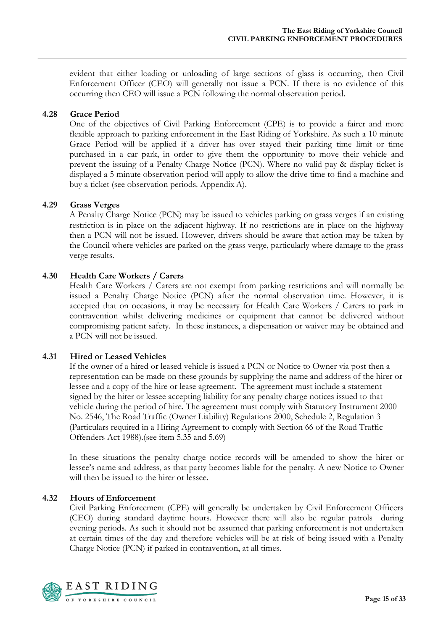evident that either loading or unloading of large sections of glass is occurring, then Civil Enforcement Officer (CEO) will generally not issue a PCN. If there is no evidence of this occurring then CEO will issue a PCN following the normal observation period.

#### **4.28 Grace Period**

One of the objectives of Civil Parking Enforcement (CPE) is to provide a fairer and more flexible approach to parking enforcement in the East Riding of Yorkshire. As such a 10 minute Grace Period will be applied if a driver has over stayed their parking time limit or time purchased in a car park, in order to give them the opportunity to move their vehicle and prevent the issuing of a Penalty Charge Notice (PCN). Where no valid pay & display ticket is displayed a 5 minute observation period will apply to allow the drive time to find a machine and buy a ticket (see observation periods. Appendix A).

#### **4.29 Grass Verges**

A Penalty Charge Notice (PCN) may be issued to vehicles parking on grass verges if an existing restriction is in place on the adjacent highway. If no restrictions are in place on the highway then a PCN will not be issued. However, drivers should be aware that action may be taken by the Council where vehicles are parked on the grass verge, particularly where damage to the grass verge results.

#### **4.30 Health Care Workers / Carers**

Health Care Workers / Carers are not exempt from parking restrictions and will normally be issued a Penalty Charge Notice (PCN) after the normal observation time. However, it is accepted that on occasions, it may be necessary for Health Care Workers / Carers to park in contravention whilst delivering medicines or equipment that cannot be delivered without compromising patient safety. In these instances, a dispensation or waiver may be obtained and a PCN will not be issued.

#### **4.31 Hired or Leased Vehicles**

If the owner of a hired or leased vehicle is issued a PCN or Notice to Owner via post then a representation can be made on these grounds by supplying the name and address of the hirer or lessee and a copy of the hire or lease agreement. The agreement must include a statement signed by the hirer or lessee accepting liability for any penalty charge notices issued to that vehicle during the period of hire. The agreement must comply with Statutory Instrument 2000 No. 2546, The Road Traffic (Owner Liability) Regulations 2000, Schedule 2, Regulation 3 (Particulars required in a Hiring Agreement to comply with Section 66 of the Road Traffic Offenders Act 1988).(see item 5.35 and 5.69)

In these situations the penalty charge notice records will be amended to show the hirer or lessee's name and address, as that party becomes liable for the penalty. A new Notice to Owner will then be issued to the hirer or lessee.

#### **4.32 Hours of Enforcement**

Civil Parking Enforcement (CPE) will generally be undertaken by Civil Enforcement Officers (CEO) during standard daytime hours. However there will also be regular patrols during evening periods. As such it should not be assumed that parking enforcement is not undertaken at certain times of the day and therefore vehicles will be at risk of being issued with a Penalty Charge Notice (PCN) if parked in contravention, at all times.

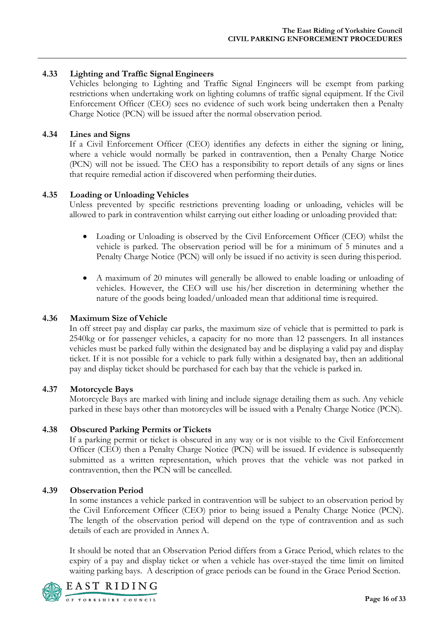#### **4.33 Lighting and Traffic Signal Engineers**

Vehicles belonging to Lighting and Traffic Signal Engineers will be exempt from parking restrictions when undertaking work on lighting columns of traffic signal equipment. If the Civil Enforcement Officer (CEO) sees no evidence of such work being undertaken then a Penalty Charge Notice (PCN) will be issued after the normal observation period.

#### **4.34 Lines and Signs**

If a Civil Enforcement Officer (CEO) identifies any defects in either the signing or lining, where a vehicle would normally be parked in contravention, then a Penalty Charge Notice (PCN) will not be issued. The CEO has a responsibility to report details of any signs or lines that require remedial action if discovered when performing their duties.

#### **4.35 Loading or Unloading Vehicles**

Unless prevented by specific restrictions preventing loading or unloading, vehicles will be allowed to park in contravention whilst carrying out either loading or unloading provided that:

- Loading or Unloading is observed by the Civil Enforcement Officer (CEO) whilst the vehicle is parked. The observation period will be for a minimum of 5 minutes and a Penalty Charge Notice (PCN) will only be issued if no activity is seen during thisperiod.
- A maximum of 20 minutes will generally be allowed to enable loading or unloading of vehicles. However, the CEO will use his/her discretion in determining whether the nature of the goods being loaded/unloaded mean that additional time isrequired.

#### **4.36 Maximum Size of Vehicle**

In off street pay and display car parks, the maximum size of vehicle that is permitted to park is 2540kg or for passenger vehicles, a capacity for no more than 12 passengers. In all instances vehicles must be parked fully within the designated bay and be displaying a valid pay and display ticket. If it is not possible for a vehicle to park fully within a designated bay, then an additional pay and display ticket should be purchased for each bay that the vehicle is parked in.

#### **4.37 Motorcycle Bays**

Motorcycle Bays are marked with lining and include signage detailing them as such. Any vehicle parked in these bays other than motorcycles will be issued with a Penalty Charge Notice (PCN).

#### **4.38 Obscured Parking Permits or Tickets**

If a parking permit or ticket is obscured in any way or is not visible to the Civil Enforcement Officer (CEO) then a Penalty Charge Notice (PCN) will be issued. If evidence is subsequently submitted as a written representation, which proves that the vehicle was not parked in contravention, then the PCN will be cancelled.

#### **4.39 Observation Period**

In some instances a vehicle parked in contravention will be subject to an observation period by the Civil Enforcement Officer (CEO) prior to being issued a Penalty Charge Notice (PCN). The length of the observation period will depend on the type of contravention and as such details of each are provided in Annex A.

It should be noted that an Observation Period differs from a Grace Period, which relates to the expiry of a pay and display ticket or when a vehicle has over-stayed the time limit on limited waiting parking bays. A description of grace periods can be found in the Grace Period Section.

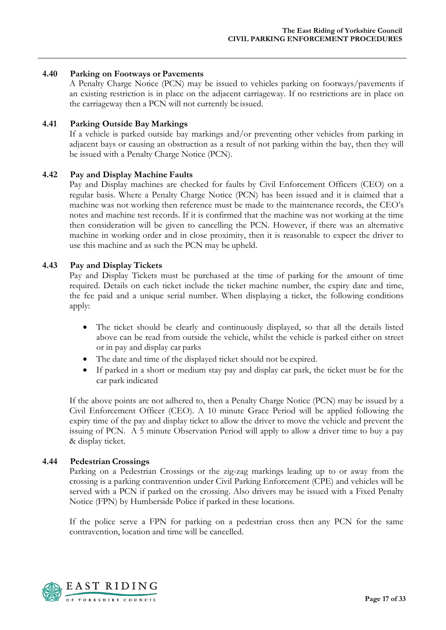#### **4.40 Parking on Footways or Pavements**

A Penalty Charge Notice (PCN) may be issued to vehicles parking on footways/pavements if an existing restriction is in place on the adjacent carriageway. If no restrictions are in place on the carriageway then a PCN will not currently be issued.

#### **4.41 Parking Outside Bay Markings**

If a vehicle is parked outside bay markings and/or preventing other vehicles from parking in adjacent bays or causing an obstruction as a result of not parking within the bay, then they will be issued with a Penalty Charge Notice (PCN).

#### **4.42 Pay and Display Machine Faults**

Pay and Display machines are checked for faults by Civil Enforcement Officers (CEO) on a regular basis. Where a Penalty Charge Notice (PCN) has been issued and it is claimed that a machine was not working then reference must be made to the maintenance records, the CEO's notes and machine test records. If it is confirmed that the machine was not working at the time then consideration will be given to cancelling the PCN. However, if there was an alternative machine in working order and in close proximity, then it is reasonable to expect the driver to use this machine and as such the PCN may be upheld.

#### **4.43 Pay and Display Tickets**

Pay and Display Tickets must be purchased at the time of parking for the amount of time required. Details on each ticket include the ticket machine number, the expiry date and time, the fee paid and a unique serial number. When displaying a ticket, the following conditions apply:

- The ticket should be clearly and continuously displayed, so that all the details listed above can be read from outside the vehicle, whilst the vehicle is parked either on street or in pay and display car parks
- The date and time of the displayed ticket should not be expired.
- If parked in a short or medium stay pay and display car park, the ticket must be for the car park indicated

If the above points are not adhered to, then a Penalty Charge Notice (PCN) may be issued by a Civil Enforcement Officer (CEO). A 10 minute Grace Period will be applied following the expiry time of the pay and display ticket to allow the driver to move the vehicle and prevent the issuing of PCN. A 5 minute Observation Period will apply to allow a driver time to buy a pay & display ticket.

#### **4.44 Pedestrian Crossings**

Parking on a Pedestrian Crossings or the zig-zag markings leading up to or away from the crossing is a parking contravention under Civil Parking Enforcement (CPE) and vehicles will be served with a PCN if parked on the crossing. Also drivers may be issued with a Fixed Penalty Notice (FPN) by Humberside Police if parked in these locations.

If the police serve a FPN for parking on a pedestrian cross then any PCN for the same contravention, location and time will be cancelled.

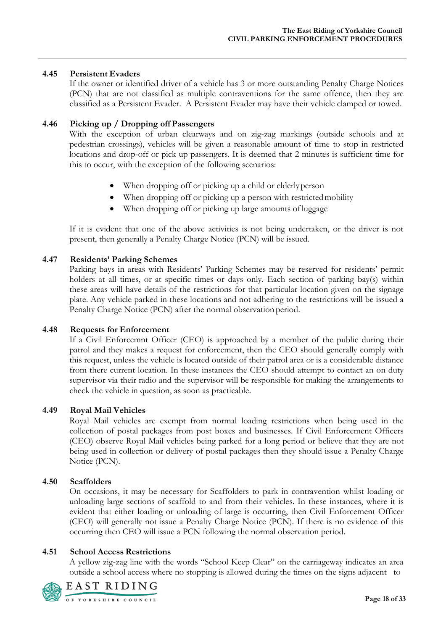#### **4.45 Persistent Evaders**

If the owner or identified driver of a vehicle has 3 or more outstanding Penalty Charge Notices (PCN) that are not classified as multiple contraventions for the same offence, then they are classified as a Persistent Evader. A Persistent Evader may have their vehicle clamped or towed.

#### **4.46 Picking up / Dropping off Passengers**

With the exception of urban clearways and on zig-zag markings (outside schools and at pedestrian crossings), vehicles will be given a reasonable amount of time to stop in restricted locations and drop-off or pick up passengers. It is deemed that 2 minutes is sufficient time for this to occur, with the exception of the following scenarios:

- When dropping off or picking up a child or elderly person
- When dropping off or picking up a person with restricted mobility
- When dropping off or picking up large amounts of luggage

If it is evident that one of the above activities is not being undertaken, or the driver is not present, then generally a Penalty Charge Notice (PCN) will be issued.

#### **4.47 Residents' Parking Schemes**

Parking bays in areas with Residents' Parking Schemes may be reserved for residents' permit holders at all times, or at specific times or days only. Each section of parking bay(s) within these areas will have details of the restrictions for that particular location given on the signage plate. Any vehicle parked in these locations and not adhering to the restrictions will be issued a Penalty Charge Notice (PCN) after the normal observation period.

#### **4.48 Requests for Enforcement**

If a Civil Enforcemnt Officer (CEO) is approached by a member of the public during their patrol and they makes a request for enforcement, then the CEO should generally comply with this request, unless the vehicle is located outside of their patrol area or is a considerable distance from there current location. In these instances the CEO should attempt to contact an on duty supervisor via their radio and the supervisor will be responsible for making the arrangements to check the vehicle in question, as soon as practicable.

#### **4.49 Royal Mail Vehicles**

Royal Mail vehicles are exempt from normal loading restrictions when being used in the collection of postal packages from post boxes and businesses. If Civil Enforcement Officers (CEO) observe Royal Mail vehicles being parked for a long period or believe that they are not being used in collection or delivery of postal packages then they should issue a Penalty Charge Notice (PCN).

#### **4.50 Scaffolders**

On occasions, it may be necessary for Scaffolders to park in contravention whilst loading or unloading large sections of scaffold to and from their vehicles. In these instances, where it is evident that either loading or unloading of large is occurring, then Civil Enforcement Officer (CEO) will generally not issue a Penalty Charge Notice (PCN). If there is no evidence of this occurring then CEO will issue a PCN following the normal observation period.

#### **4.51 School Access Restrictions**

A yellow zig-zag line with the words "School Keep Clear" on the carriageway indicates an area outside a school access where no stopping is allowed during the times on the signs adjacent to

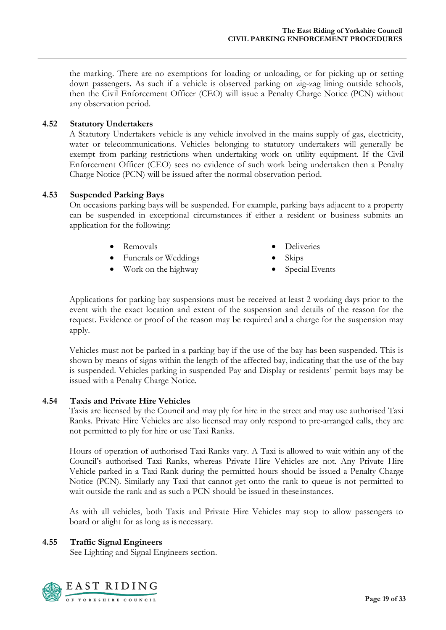the marking. There are no exemptions for loading or unloading, or for picking up or setting down passengers. As such if a vehicle is observed parking on zig-zag lining outside schools, then the Civil Enforcement Officer (CEO) will issue a Penalty Charge Notice (PCN) without any observation period.

#### **4.52 Statutory Undertakers**

A Statutory Undertakers vehicle is any vehicle involved in the mains supply of gas, electricity, water or telecommunications. Vehicles belonging to statutory undertakers will generally be exempt from parking restrictions when undertaking work on utility equipment. If the Civil Enforcement Officer (CEO) sees no evidence of such work being undertaken then a Penalty Charge Notice (PCN) will be issued after the normal observation period.

#### **4.53 Suspended Parking Bays**

On occasions parking bays will be suspended. For example, parking bays adjacent to a property can be suspended in exceptional circumstances if either a resident or business submits an application for the following:

- Removals
- Funerals or Weddings
- Work on the highway
- Deliveries
- Skips
- Special Events

Applications for parking bay suspensions must be received at least 2 working days prior to the event with the exact location and extent of the suspension and details of the reason for the request. Evidence or proof of the reason may be required and a charge for the suspension may apply.

Vehicles must not be parked in a parking bay if the use of the bay has been suspended. This is shown by means of signs within the length of the affected bay, indicating that the use of the bay is suspended. Vehicles parking in suspended Pay and Display or residents' permit bays may be issued with a Penalty Charge Notice.

#### **4.54 Taxis and Private Hire Vehicles**

Taxis are licensed by the Council and may ply for hire in the street and may use authorised Taxi Ranks. Private Hire Vehicles are also licensed may only respond to pre-arranged calls, they are not permitted to ply for hire or use Taxi Ranks.

Hours of operation of authorised Taxi Ranks vary. A Taxi is allowed to wait within any of the Council's authorised Taxi Ranks, whereas Private Hire Vehicles are not. Any Private Hire Vehicle parked in a Taxi Rank during the permitted hours should be issued a Penalty Charge Notice (PCN). Similarly any Taxi that cannot get onto the rank to queue is not permitted to wait outside the rank and as such a PCN should be issued in these instances.

As with all vehicles, both Taxis and Private Hire Vehicles may stop to allow passengers to board or alight for as long as is necessary.

#### **4.55 Traffic Signal Engineers**

See Lighting and Signal Engineers section.

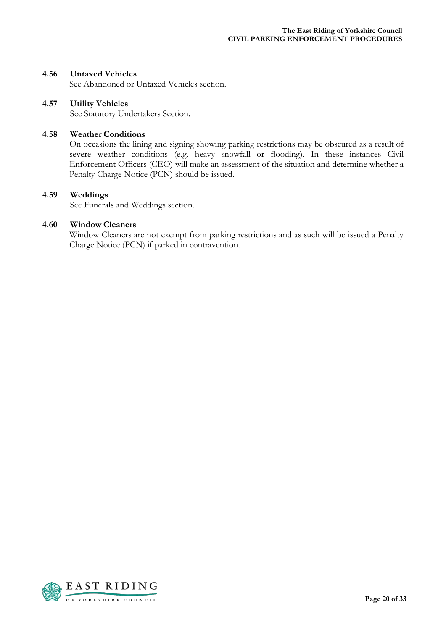#### **4.56 Untaxed Vehicles**

See Abandoned or Untaxed Vehicles section.

#### **4.57 Utility Vehicles**

See Statutory Undertakers Section.

#### **4.58 Weather Conditions**

On occasions the lining and signing showing parking restrictions may be obscured as a result of severe weather conditions (e.g. heavy snowfall or flooding). In these instances Civil Enforcement Officers (CEO) will make an assessment of the situation and determine whether a Penalty Charge Notice (PCN) should be issued.

#### **4.59 Weddings**

See Funerals and Weddings section.

#### **4.60 Window Cleaners**

Window Cleaners are not exempt from parking restrictions and as such will be issued a Penalty Charge Notice (PCN) if parked in contravention.

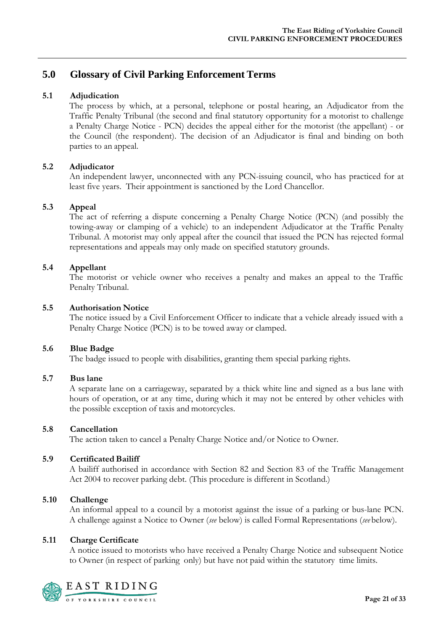## **5.0 Glossary of Civil Parking Enforcement Terms**

#### **5.1 Adjudication**

The process by which, at a personal, telephone or postal hearing, an Adjudicator from the Traffic Penalty Tribunal (the second and final statutory opportunity for a motorist to challenge a Penalty Charge Notice - PCN) decides the appeal either for the motorist (the appellant) - or the Council (the respondent). The decision of an Adjudicator is final and binding on both parties to an appeal.

#### **5.2 Adjudicator**

An independent lawyer, unconnected with any PCN-issuing council, who has practiced for at least five years. Their appointment is sanctioned by the Lord Chancellor.

#### **5.3 Appeal**

The act of referring a dispute concerning a Penalty Charge Notice (PCN) (and possibly the towing-away or clamping of a vehicle) to an independent Adjudicator at the Traffic Penalty Tribunal. A motorist may only appeal after the council that issued the PCN has rejected formal representations and appeals may only made on specified statutory grounds.

#### **5.4 Appellant**

The motorist or vehicle owner who receives a penalty and makes an appeal to the Traffic Penalty Tribunal.

#### **5.5 Authorisation Notice**

The notice issued by a Civil Enforcement Officer to indicate that a vehicle already issued with a Penalty Charge Notice (PCN) is to be towed away or clamped.

#### **5.6 Blue Badge**

The badge issued to people with disabilities, granting them special parking rights.

#### **5.7 Bus lane**

A separate lane on a carriageway, separated by a thick white line and signed as a bus lane with hours of operation, or at any time, during which it may not be entered by other vehicles with the possible exception of taxis and motorcycles.

#### **5.8 Cancellation**

The action taken to cancel a Penalty Charge Notice and/or Notice to Owner.

#### **5.9 Certificated Bailiff**

A bailiff authorised in accordance with Section 82 and Section 83 of the Traffic Management Act 2004 to recover parking debt. (This procedure is different in Scotland.)

#### **5.10 Challenge**

An informal appeal to a council by a motorist against the issue of a parking or bus-lane PCN. A challenge against a Notice to Owner (*see* below) is called Formal Representations (*see* below).

#### **5.11 Charge Certificate**

A notice issued to motorists who have received a Penalty Charge Notice and subsequent Notice to Owner (in respect of parking only) but have not paid within the statutory time limits.

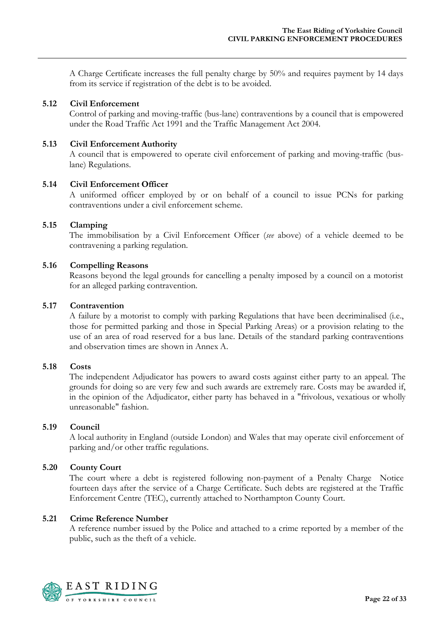A Charge Certificate increases the full penalty charge by 50% and requires payment by 14 days from its service if registration of the debt is to be avoided.

#### **5.12 Civil Enforcement**

Control of parking and moving-traffic (bus-lane) contraventions by a council that is empowered under the Road Traffic Act 1991 and the Traffic Management Act 2004.

#### **5.13 Civil Enforcement Authority**

A council that is empowered to operate civil enforcement of parking and moving-traffic (buslane) Regulations.

#### **5.14 Civil Enforcement Officer**

A uniformed officer employed by or on behalf of a council to issue PCNs for parking contraventions under a civil enforcement scheme.

#### **5.15 Clamping**

The immobilisation by a Civil Enforcement Officer (*see* above) of a vehicle deemed to be contravening a parking regulation.

#### **5.16 Compelling Reasons**

Reasons beyond the legal grounds for cancelling a penalty imposed by a council on a motorist for an alleged parking contravention.

#### **5.17 Contravention**

A failure by a motorist to comply with parking Regulations that have been decriminalised (i.e., those for permitted parking and those in Special Parking Areas) or a provision relating to the use of an area of road reserved for a bus lane. Details of the standard parking contraventions and observation times are shown in Annex A.

#### **5.18 Costs**

The independent Adjudicator has powers to award costs against either party to an appeal. The grounds for doing so are very few and such awards are extremely rare. Costs may be awarded if, in the opinion of the Adjudicator, either party has behaved in a "frivolous, vexatious or wholly unreasonable" fashion.

#### **5.19 Council**

A local authority in England (outside London) and Wales that may operate civil enforcement of parking and/or other traffic regulations.

#### **5.20 County Court**

The court where a debt is registered following non-payment of a Penalty Charge Notice fourteen days after the service of a Charge Certificate. Such debts are registered at the Traffic Enforcement Centre (TEC), currently attached to Northampton County Court.

#### **5.21 Crime Reference Number**

A reference number issued by the Police and attached to a crime reported by a member of the public, such as the theft of a vehicle.

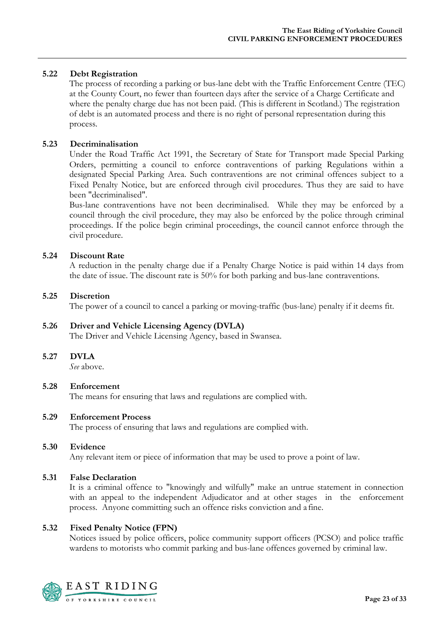#### **5.22 Debt Registration**

The process of recording a parking or bus-lane debt with the Traffic Enforcement Centre (TEC) at the County Court, no fewer than fourteen days after the service of a Charge Certificate and where the penalty charge due has not been paid. (This is different in Scotland.) The registration of debt is an automated process and there is no right of personal representation during this process.

#### **5.23 Decriminalisation**

Under the Road Traffic Act 1991, the Secretary of State for Transport made Special Parking Orders, permitting a council to enforce contraventions of parking Regulations within a designated Special Parking Area. Such contraventions are not criminal offences subject to a Fixed Penalty Notice, but are enforced through civil procedures. Thus they are said to have been "decriminalised".

Bus-lane contraventions have not been decriminalised. While they may be enforced by a council through the civil procedure, they may also be enforced by the police through criminal proceedings. If the police begin criminal proceedings, the council cannot enforce through the civil procedure.

#### **5.24 Discount Rate**

A reduction in the penalty charge due if a Penalty Charge Notice is paid within 14 days from the date of issue. The discount rate is 50% for both parking and bus-lane contraventions.

#### **5.25 Discretion**

The power of a council to cancel a parking or moving-traffic (bus-lane) penalty if it deems fit.

#### **5.26 Driver and Vehicle Licensing Agency (DVLA)**

The Driver and Vehicle Licensing Agency, based in Swansea.

#### **5.27 DVLA**

*See* above.

#### **5.28 Enforcement**

The means for ensuring that laws and regulations are complied with.

#### **5.29 Enforcement Process**

The process of ensuring that laws and regulations are complied with.

#### **5.30 Evidence**

Any relevant item or piece of information that may be used to prove a point of law.

#### **5.31 False Declaration**

It is a criminal offence to "knowingly and wilfully" make an untrue statement in connection with an appeal to the independent Adjudicator and at other stages in the enforcement process. Anyone committing such an offence risks conviction and a fine.

#### **5.32 Fixed Penalty Notice (FPN)**

Notices issued by police officers, police community support officers (PCSO) and police traffic wardens to motorists who commit parking and bus-lane offences governed by criminal law.

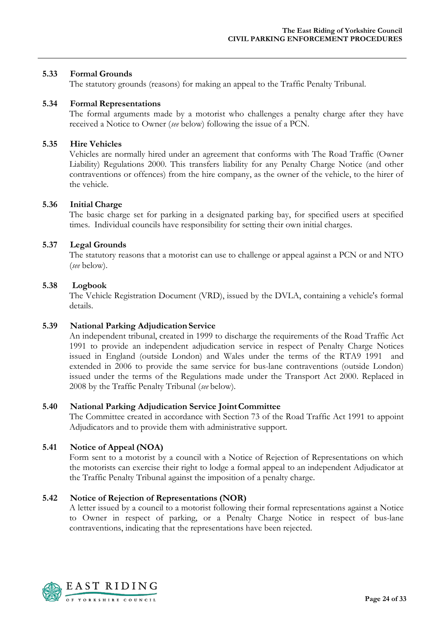#### **5.33 Formal Grounds**

The statutory grounds (reasons) for making an appeal to the Traffic Penalty Tribunal.

#### **5.34 Formal Representations**

The formal arguments made by a motorist who challenges a penalty charge after they have received a Notice to Owner (*see* below) following the issue of a PCN.

#### **5.35 Hire Vehicles**

Vehicles are normally hired under an agreement that conforms with The Road Traffic (Owner Liability) Regulations 2000. This transfers liability for any Penalty Charge Notice (and other contraventions or offences) from the hire company, as the owner of the vehicle, to the hirer of the vehicle.

#### **5.36 Initial Charge**

The basic charge set for parking in a designated parking bay, for specified users at specified times. Individual councils have responsibility for setting their own initial charges.

#### **5.37 Legal Grounds**

The statutory reasons that a motorist can use to challenge or appeal against a PCN or and NTO (*see* below).

#### **5.38 Logbook**

The Vehicle Registration Document (VRD), issued by the DVLA, containing a vehicle's formal details.

#### **5.39 National Parking Adjudication Service**

An independent tribunal, created in 1999 to discharge the requirements of the Road Traffic Act 1991 to provide an independent adjudication service in respect of Penalty Charge Notices issued in England (outside London) and Wales under the terms of the RTA9 1991 and extended in 2006 to provide the same service for bus-lane contraventions (outside London) issued under the terms of the Regulations made under the Transport Act 2000. Replaced in 2008 by the Traffic Penalty Tribunal (*see* below).

#### **5.40 National Parking Adjudication Service JointCommittee**

The Committee created in accordance with Section 73 of the Road Traffic Act 1991 to appoint Adjudicators and to provide them with administrative support.

#### **5.41 Notice of Appeal (NOA)**

Form sent to a motorist by a council with a Notice of Rejection of Representations on which the motorists can exercise their right to lodge a formal appeal to an independent Adjudicator at the Traffic Penalty Tribunal against the imposition of a penalty charge.

#### **5.42 Notice of Rejection of Representations (NOR)**

A letter issued by a council to a motorist following their formal representations against a Notice to Owner in respect of parking, or a Penalty Charge Notice in respect of bus-lane contraventions, indicating that the representations have been rejected.

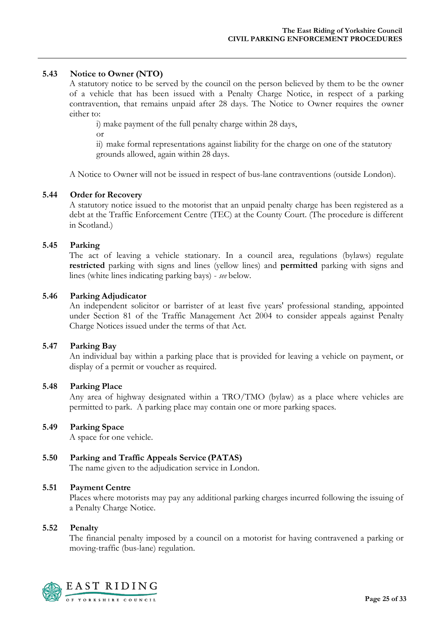#### **5.43 Notice to Owner (NTO)**

A statutory notice to be served by the council on the person believed by them to be the owner of a vehicle that has been issued with a Penalty Charge Notice, in respect of a parking contravention, that remains unpaid after 28 days. The Notice to Owner requires the owner either to:

i) make payment of the full penalty charge within 28 days,

or

ii) make formal representations against liability for the charge on one of the statutory grounds allowed, again within 28 days.

A Notice to Owner will not be issued in respect of bus-lane contraventions (outside London).

#### **5.44 Order for Recovery**

A statutory notice issued to the motorist that an unpaid penalty charge has been registered as a debt at the Traffic Enforcement Centre (TEC) at the County Court. (The procedure is different in Scotland.)

#### **5.45 Parking**

The act of leaving a vehicle stationary. In a council area, regulations (bylaws) regulate **restricted** parking with signs and lines (yellow lines) and **permitted** parking with signs and lines (white lines indicating parking bays) - *see* below.

#### **5.46 Parking Adjudicator**

An independent solicitor or barrister of at least five years' professional standing, appointed under Section 81 of the Traffic Management Act 2004 to consider appeals against Penalty Charge Notices issued under the terms of that Act.

#### **5.47 Parking Bay**

An individual bay within a parking place that is provided for leaving a vehicle on payment, or display of a permit or voucher as required.

#### **5.48 Parking Place**

Any area of highway designated within a TRO/TMO (bylaw) as a place where vehicles are permitted to park. A parking place may contain one or more parking spaces.

#### **5.49 Parking Space**

A space for one vehicle.

#### **5.50 Parking and Traffic Appeals Service (PATAS)**

The name given to the adjudication service in London.

#### **5.51 Payment Centre**

Places where motorists may pay any additional parking charges incurred following the issuing of a Penalty Charge Notice.

#### **5.52 Penalty**

The financial penalty imposed by a council on a motorist for having contravened a parking or moving-traffic (bus-lane) regulation.

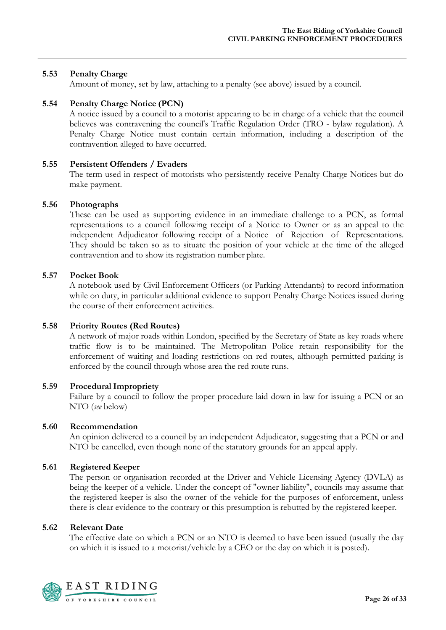#### **5.53 Penalty Charge**

Amount of money, set by law, attaching to a penalty (see above) issued by a council.

#### **5.54 Penalty Charge Notice (PCN)**

A notice issued by a council to a motorist appearing to be in charge of a vehicle that the council believes was contravening the council's Traffic Regulation Order (TRO - bylaw regulation). A Penalty Charge Notice must contain certain information, including a description of the contravention alleged to have occurred.

#### **5.55 Persistent Offenders / Evaders**

The term used in respect of motorists who persistently receive Penalty Charge Notices but do make payment.

#### **5.56 Photographs**

These can be used as supporting evidence in an immediate challenge to a PCN, as formal representations to a council following receipt of a Notice to Owner or as an appeal to the independent Adjudicator following receipt of a Notice of Rejection of Representations. They should be taken so as to situate the position of your vehicle at the time of the alleged contravention and to show its registration number plate.

#### **5.57 Pocket Book**

A notebook used by Civil Enforcement Officers (or Parking Attendants) to record information while on duty, in particular additional evidence to support Penalty Charge Notices issued during the course of their enforcement activities.

#### **5.58 Priority Routes (Red Routes)**

A network of major roads within London, specified by the Secretary of State as key roads where traffic flow is to be maintained. The Metropolitan Police retain responsibility for the enforcement of waiting and loading restrictions on red routes, although permitted parking is enforced by the council through whose area the red route runs.

#### **5.59 Procedural Impropriety**

Failure by a council to follow the proper procedure laid down in law for issuing a PCN or an NTO (*see* below)

#### **5.60 Recommendation**

An opinion delivered to a council by an independent Adjudicator, suggesting that a PCN or and NTO be cancelled, even though none of the statutory grounds for an appeal apply.

#### **5.61 Registered Keeper**

The person or organisation recorded at the Driver and Vehicle Licensing Agency (DVLA) as being the keeper of a vehicle. Under the concept of "owner liability", councils may assume that the registered keeper is also the owner of the vehicle for the purposes of enforcement, unless there is clear evidence to the contrary or this presumption is rebutted by the registered keeper.

#### **5.62 Relevant Date**

The effective date on which a PCN or an NTO is deemed to have been issued (usually the day on which it is issued to a motorist/vehicle by a CEO or the day on which it is posted).

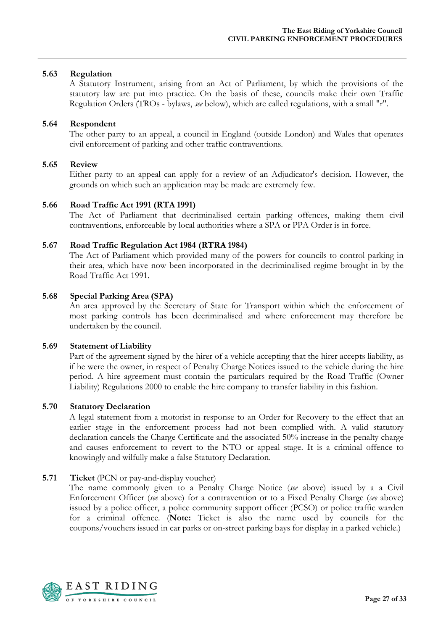#### **5.63 Regulation**

A Statutory Instrument, arising from an Act of Parliament, by which the provisions of the statutory law are put into practice. On the basis of these, councils make their own Traffic Regulation Orders (TROs - bylaws, *see* below), which are called regulations, with a small "r".

#### **5.64 Respondent**

The other party to an appeal, a council in England (outside London) and Wales that operates civil enforcement of parking and other traffic contraventions.

#### **5.65 Review**

Either party to an appeal can apply for a review of an Adjudicator's decision. However, the grounds on which such an application may be made are extremely few.

#### **5.66 Road Traffic Act 1991 (RTA 1991)**

The Act of Parliament that decriminalised certain parking offences, making them civil contraventions, enforceable by local authorities where a SPA or PPA Order is in force.

#### **5.67 Road Traffic Regulation Act 1984 (RTRA 1984)**

The Act of Parliament which provided many of the powers for councils to control parking in their area, which have now been incorporated in the decriminalised regime brought in by the Road Traffic Act 1991.

#### **5.68 Special Parking Area (SPA)**

An area approved by the Secretary of State for Transport within which the enforcement of most parking controls has been decriminalised and where enforcement may therefore be undertaken by the council.

#### **5.69 Statement of Liability**

Part of the agreement signed by the hirer of a vehicle accepting that the hirer accepts liability, as if he were the owner, in respect of Penalty Charge Notices issued to the vehicle during the hire period. A hire agreement must contain the particulars required by the Road Traffic (Owner Liability) Regulations 2000 to enable the hire company to transfer liability in this fashion.

#### **5.70 Statutory Declaration**

A legal statement from a motorist in response to an Order for Recovery to the effect that an earlier stage in the enforcement process had not been complied with. A valid statutory declaration cancels the Charge Certificate and the associated 50% increase in the penalty charge and causes enforcement to revert to the NTO or appeal stage. It is a criminal offence to knowingly and wilfully make a false Statutory Declaration.

#### **5.71 Ticket** (PCN or pay-and-display voucher)

The name commonly given to a Penalty Charge Notice (*see* above) issued by a a Civil Enforcement Officer (*see* above) for a contravention or to a Fixed Penalty Charge (*see* above) issued by a police officer, a police community support officer (PCSO) or police traffic warden for a criminal offence. (**Note:** Ticket is also the name used by councils for the coupons/vouchers issued in car parks or on-street parking bays for display in a parked vehicle.)

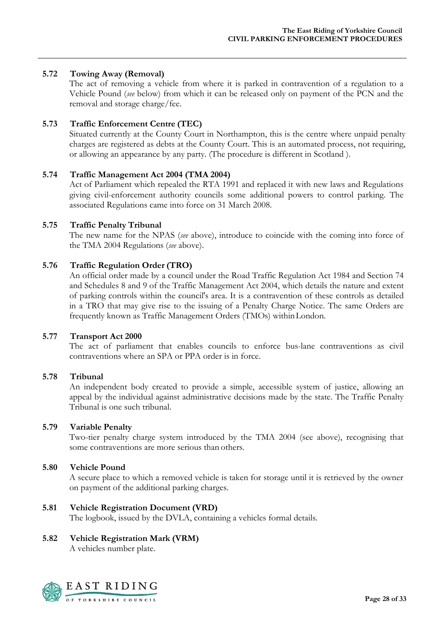#### **5.72 Towing Away (Removal)**

The act of removing a vehicle from where it is parked in contravention of a regulation to a Vehicle Pound (*see* below) from which it can be released only on payment of the PCN and the removal and storage charge/fee.

#### **5.73 Traffic Enforcement Centre (TEC)**

Situated currently at the County Court in Northampton, this is the centre where unpaid penalty charges are registered as debts at the County Court. This is an automated process, not requiring, or allowing an appearance by any party. (The procedure is different in Scotland ).

#### **5.74 Traffic Management Act 2004 (TMA 2004)**

Act of Parliament which repealed the RTA 1991 and replaced it with new laws and Regulations giving civil-enforcement authority councils some additional powers to control parking. The associated Regulations came into force on 31 March 2008.

#### **5.75 Traffic Penalty Tribunal**

The new name for the NPAS (*see* above), introduce to coincide with the coming into force of the TMA 2004 Regulations (*see* above).

#### **5.76 Traffic Regulation Order (TRO)**

An official order made by a council under the Road Traffic Regulation Act 1984 and Section 74 and Schedules 8 and 9 of the Traffic Management Act 2004, which details the nature and extent of parking controls within the council's area. It is a contravention of these controls as detailed in a TRO that may give rise to the issuing of a Penalty Charge Notice. The same Orders are frequently known as Traffic Management Orders (TMOs) withinLondon.

#### **5.77 Transport Act 2000**

The act of parliament that enables councils to enforce bus-lane contraventions as civil contraventions where an SPA or PPA order is in force.

#### **5.78 Tribunal**

An independent body created to provide a simple, accessible system of justice, allowing an appeal by the individual against administrative decisions made by the state. The Traffic Penalty Tribunal is one such tribunal.

#### **5.79 Variable Penalty**

Two-tier penalty charge system introduced by the TMA 2004 (see above), recognising that some contraventions are more serious than others.

#### **5.80 Vehicle Pound**

A secure place to which a removed vehicle is taken for storage until it is retrieved by the owner on payment of the additional parking charges.

#### **5.81 Vehicle Registration Document (VRD)**

The logbook, issued by the DVLA, containing a vehicles formal details.

#### **5.82 Vehicle Registration Mark (VRM)**

A vehicles number plate.

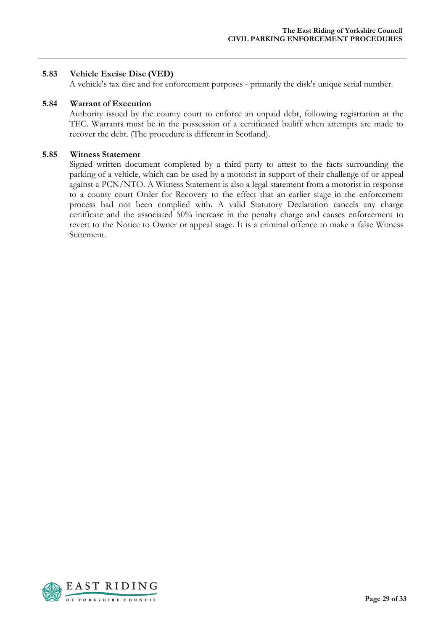#### **5.83 Vehicle Excise Disc (VED)**

A vehicle's tax disc and for enforcement purposes - primarily the disk's unique serial number.

#### **5.84 Warrant of Execution**

Authority issued by the county court to enforce an unpaid debt, following registration at the TEC. Warrants must be in the possession of a certificated bailiff when attempts are made to recover the debt. (The procedure is different in Scotland).

#### **5.85 Witness Statement**

Signed written document completed by a third party to attest to the facts surrounding the parking of a vehicle, which can be used by a motorist in support of their challenge of or appeal against a PCN/NTO. A Witness Statement is also a legal statement from a motorist in response to a county court Order for Recovery to the effect that an earlier stage in the enforcement process had not been complied with. A valid Statutory Declaration cancels any charge certificate and the associated 50% increase in the penalty charge and causes enforcement to revert to the Notice to Owner or appeal stage. It is a criminal offence to make a false Witness Statement.

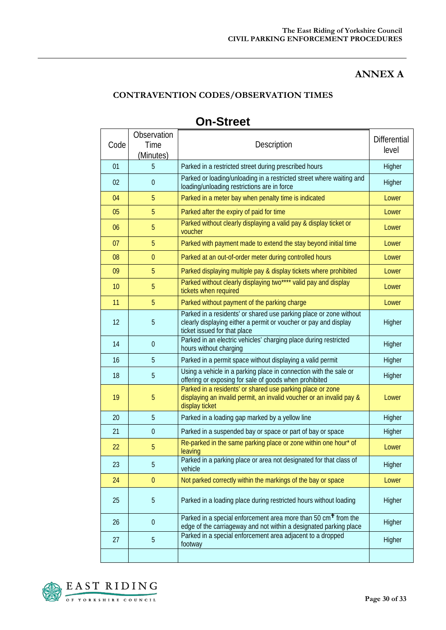## **ANNEX A**

## **CONTRAVENTION CODES/OBSERVATION TIMES**

| Code | Observation<br>Time<br>(Minutes) | Description                                                                                                                                                            | <b>Differential</b><br>level |
|------|----------------------------------|------------------------------------------------------------------------------------------------------------------------------------------------------------------------|------------------------------|
| 01   | 5                                | Parked in a restricted street during prescribed hours                                                                                                                  | Higher                       |
| 02   | $\boldsymbol{0}$                 | Parked or loading/unloading in a restricted street where waiting and<br>loading/unloading restrictions are in force                                                    | Higher                       |
| 04   | 5                                | Parked in a meter bay when penalty time is indicated                                                                                                                   | Lower                        |
| 05   | 5                                | Parked after the expiry of paid for time                                                                                                                               | Lower                        |
| 06   | 5                                | Parked without clearly displaying a valid pay & display ticket or<br>voucher                                                                                           | Lower                        |
| 07   | 5                                | Parked with payment made to extend the stay beyond initial time                                                                                                        | Lower                        |
| 08   | $\mathbf{0}$                     | Parked at an out-of-order meter during controlled hours                                                                                                                | Lower                        |
| 09   | 5                                | Parked displaying multiple pay & display tickets where prohibited                                                                                                      | Lower                        |
| 10   | 5                                | Parked without clearly displaying two**** valid pay and display<br>tickets when required                                                                               | Lower                        |
| 11   | 5                                | Parked without payment of the parking charge                                                                                                                           | Lower                        |
| 12   | 5                                | Parked in a residents' or shared use parking place or zone without<br>clearly displaying either a permit or voucher or pay and display<br>ticket issued for that place | Higher                       |
| 14   | $\boldsymbol{0}$                 | Parked in an electric vehicles' charging place during restricted<br>hours without charging                                                                             | Higher                       |
| 16   | 5                                | Parked in a permit space without displaying a valid permit                                                                                                             | Higher                       |
| 18   | 5                                | Using a vehicle in a parking place in connection with the sale or<br>offering or exposing for sale of goods when prohibited                                            | Higher                       |
| 19   | 5                                | Parked in a residents' or shared use parking place or zone<br>displaying an invalid permit, an invalid voucher or an invalid pay &<br>display ticket                   | Lower                        |
| 20   | 5                                | Parked in a loading gap marked by a yellow line                                                                                                                        | Higher                       |
| 21   | $\mathbf{0}$                     | Parked in a suspended bay or space or part of bay or space                                                                                                             | Higher                       |
| 22   | 5                                | Re-parked in the same parking place or zone within one hour* of<br>leaving                                                                                             | Lower                        |
| 23   | b                                | Parked in a parking place or area not designated for that class of<br>vehicle                                                                                          | Higher                       |
| 24   | $\boldsymbol{0}$                 | Not parked correctly within the markings of the bay or space                                                                                                           | Lower                        |
| 25   | 5                                | Parked in a loading place during restricted hours without loading                                                                                                      | Higher                       |
| 26   | $\boldsymbol{0}$                 | Parked in a special enforcement area more than 50 cm <sup>+</sup> from the<br>edge of the carriageway and not within a designated parking place                        | Higher                       |
| 27   | $\overline{5}$                   | Parked in a special enforcement area adjacent to a dropped<br>footway                                                                                                  | Higher                       |
|      |                                  |                                                                                                                                                                        |                              |

# **On-Street**

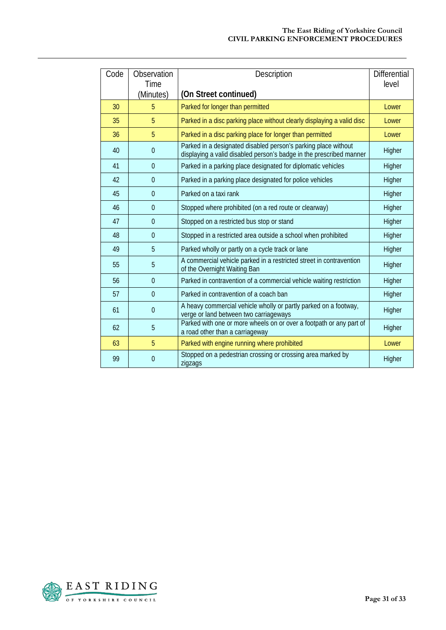#### **The East Riding of Yorkshire Council CIVIL PARKING ENFORCEMENT PROCEDURES**

| Code | Observation       | Description                                                                                                                           | <b>Differential</b> |
|------|-------------------|---------------------------------------------------------------------------------------------------------------------------------------|---------------------|
|      | Time<br>(Minutes) | (On Street continued)                                                                                                                 | level               |
| 30   | 5                 | Parked for longer than permitted                                                                                                      | Lower               |
| 35   | 5                 | Parked in a disc parking place without clearly displaying a valid disc                                                                | Lower               |
| 36   | 5                 | Parked in a disc parking place for longer than permitted                                                                              | Lower               |
| 40   | $\theta$          | Parked in a designated disabled person's parking place without<br>displaying a valid disabled person's badge in the prescribed manner | Higher              |
| 41   | $\overline{0}$    | Parked in a parking place designated for diplomatic vehicles                                                                          | Higher              |
| 42   | $\overline{0}$    | Parked in a parking place designated for police vehicles                                                                              | Higher              |
| 45   | $\theta$          | Parked on a taxi rank                                                                                                                 | Higher              |
| 46   | $\theta$          | Stopped where prohibited (on a red route or clearway)                                                                                 | Higher              |
| 47   | $\Omega$          | Stopped on a restricted bus stop or stand                                                                                             | Higher              |
| 48   | $\overline{0}$    | Stopped in a restricted area outside a school when prohibited                                                                         | Higher              |
| 49   | 5                 | Parked wholly or partly on a cycle track or lane                                                                                      | Higher              |
| 55   | 5                 | A commercial vehicle parked in a restricted street in contravention<br>of the Overnight Waiting Ban                                   | Higher              |
| 56   | $\overline{0}$    | Parked in contravention of a commercial vehicle waiting restriction                                                                   | Higher              |
| 57   | $\Omega$          | Parked in contravention of a coach ban                                                                                                | Higher              |
| 61   | $\theta$          | A heavy commercial vehicle wholly or partly parked on a footway,<br>verge or land between two carriageways                            | Higher              |
| 62   | 5                 | Parked with one or more wheels on or over a footpath or any part of<br>a road other than a carriageway                                | Higher              |
| 63   | 5                 | Parked with engine running where prohibited                                                                                           | Lower               |
| 99   | $\overline{0}$    | Stopped on a pedestrian crossing or crossing area marked by<br>zigzags                                                                | Higher              |